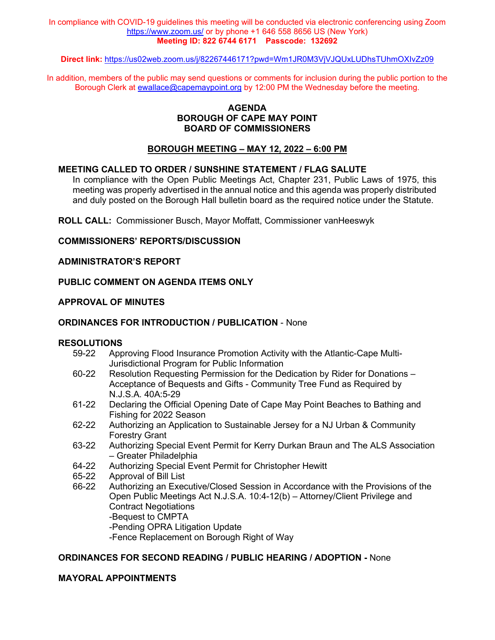In compliance with COVID-19 guidelines this meeting will be conducted via electronic conferencing using Zoom <https://www.zoom.us/> or by phone +1 646 558 8656 US (New York) **Meeting ID: 822 6744 6171 Passcode: 132692**

**Direct link:** <https://us02web.zoom.us/j/82267446171?pwd=Wm1JR0M3VjVJQUxLUDhsTUhmOXIvZz09>

In addition, members of the public may send questions or comments for inclusion during the public portion to the Borough Clerk at [ewallace@capemaypoint.org](mailto:ewallace@capemaypoint.org) by 12:00 PM the Wednesday before the meeting.

### **AGENDA BOROUGH OF CAPE MAY POINT BOARD OF COMMISSIONERS**

### **BOROUGH MEETING – MAY 12, 2022 – 6:00 PM**

### **MEETING CALLED TO ORDER / SUNSHINE STATEMENT / FLAG SALUTE**

In compliance with the Open Public Meetings Act, Chapter 231, Public Laws of 1975, this meeting was properly advertised in the annual notice and this agenda was properly distributed and duly posted on the Borough Hall bulletin board as the required notice under the Statute.

**ROLL CALL:** Commissioner Busch, Mayor Moffatt, Commissioner vanHeeswyk

### **COMMISSIONERS' REPORTS/DISCUSSION**

### **ADMINISTRATOR'S REPORT**

### **PUBLIC COMMENT ON AGENDA ITEMS ONLY**

### **APPROVAL OF MINUTES**

### **ORDINANCES FOR INTRODUCTION / PUBLICATION** - None

## **RESOLUTIONS**<br>59-22 App

- Approving Flood Insurance Promotion Activity with the Atlantic-Cape Multi-Jurisdictional Program for Public Information
- 60-22 Resolution Requesting Permission for the Dedication by Rider for Donations Acceptance of Bequests and Gifts - Community Tree Fund as Required by N.J.S.A. 40A:5-29
- 61-22 Declaring the Official Opening Date of Cape May Point Beaches to Bathing and Fishing for 2022 Season
- 62-22 Authorizing an Application to Sustainable Jersey for a NJ Urban & Community Forestry Grant
- 63-22 Authorizing Special Event Permit for Kerry Durkan Braun and The ALS Association – Greater Philadelphia
- 64-22 Authorizing Special Event Permit for Christopher Hewitt
- 65-22 Approval of Bill List
- 66-22 Authorizing an Executive/Closed Session in Accordance with the Provisions of the Open Public Meetings Act N.J.S.A. 10:4-12(b) – Attorney/Client Privilege and Contract Negotiations -Bequest to CMPTA -Pending OPRA Litigation Update
	- -Fence Replacement on Borough Right of Way

### **ORDINANCES FOR SECOND READING / PUBLIC HEARING / ADOPTION -** None

### **MAYORAL APPOINTMENTS**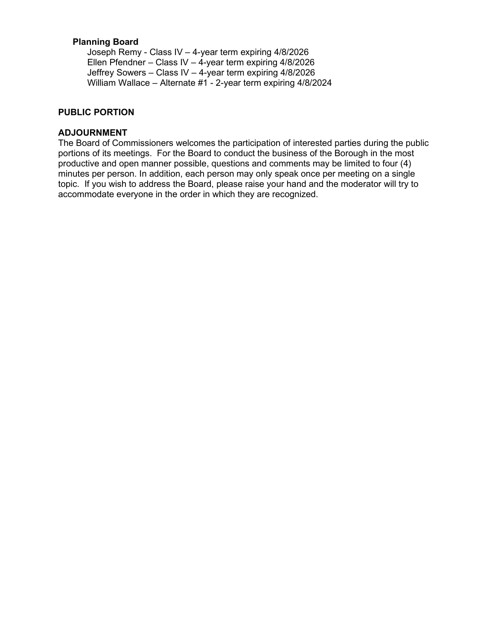### **Planning Board**

Joseph Remy - Class IV – 4-year term expiring 4/8/2026 Ellen Pfendner – Class IV – 4-year term expiring 4/8/2026 Jeffrey Sowers – Class IV – 4-year term expiring 4/8/2026 William Wallace – Alternate #1 - 2-year term expiring 4/8/2024

### **PUBLIC PORTION**

### **ADJOURNMENT**

The Board of Commissioners welcomes the participation of interested parties during the public portions of its meetings. For the Board to conduct the business of the Borough in the most productive and open manner possible, questions and comments may be limited to four (4) minutes per person. In addition, each person may only speak once per meeting on a single topic. If you wish to address the Board, please raise your hand and the moderator will try to accommodate everyone in the order in which they are recognized.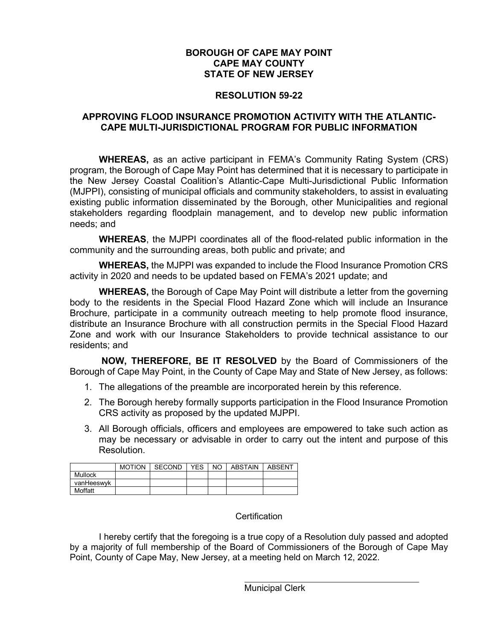### **BOROUGH OF CAPE MAY POINT CAPE MAY COUNTY STATE OF NEW JERSEY**

### **RESOLUTION 59-22**

### **APPROVING FLOOD INSURANCE PROMOTION ACTIVITY WITH THE ATLANTIC-CAPE MULTI-JURISDICTIONAL PROGRAM FOR PUBLIC INFORMATION**

**WHEREAS,** as an active participant in FEMA's Community Rating System (CRS) program, the Borough of Cape May Point has determined that it is necessary to participate in the New Jersey Coastal Coalition's Atlantic-Cape Multi-Jurisdictional Public Information (MJPPI), consisting of municipal officials and community stakeholders, to assist in evaluating existing public information disseminated by the Borough, other Municipalities and regional stakeholders regarding floodplain management, and to develop new public information needs; and

**WHEREAS**, the MJPPI coordinates all of the flood-related public information in the community and the surrounding areas, both public and private; and

**WHEREAS,** the MJPPI was expanded to include the Flood Insurance Promotion CRS activity in 2020 and needs to be updated based on FEMA's 2021 update; and

**WHEREAS,** the Borough of Cape May Point will distribute a letter from the governing body to the residents in the Special Flood Hazard Zone which will include an Insurance Brochure, participate in a community outreach meeting to help promote flood insurance, distribute an Insurance Brochure with all construction permits in the Special Flood Hazard Zone and work with our Insurance Stakeholders to provide technical assistance to our residents; and

**NOW, THEREFORE, BE IT RESOLVED** by the Board of Commissioners of the Borough of Cape May Point, in the County of Cape May and State of New Jersey, as follows:

- 1. The allegations of the preamble are incorporated herein by this reference.
- 2. The Borough hereby formally supports participation in the Flood Insurance Promotion CRS activity as proposed by the updated MJPPI.
- 3. All Borough officials, officers and employees are empowered to take such action as may be necessary or advisable in order to carry out the intent and purpose of this Resolution.

|            | <b>MOTION</b> | SECOND | <b>YES</b> | NO. | ABSTAIN | ABSENT |
|------------|---------------|--------|------------|-----|---------|--------|
| Mullock    |               |        |            |     |         |        |
| vanHeeswyk |               |        |            |     |         |        |
| Moffatt    |               |        |            |     |         |        |

### **Certification**

I hereby certify that the foregoing is a true copy of a Resolution duly passed and adopted by a majority of full membership of the Board of Commissioners of the Borough of Cape May Point, County of Cape May, New Jersey, at a meeting held on March 12, 2022.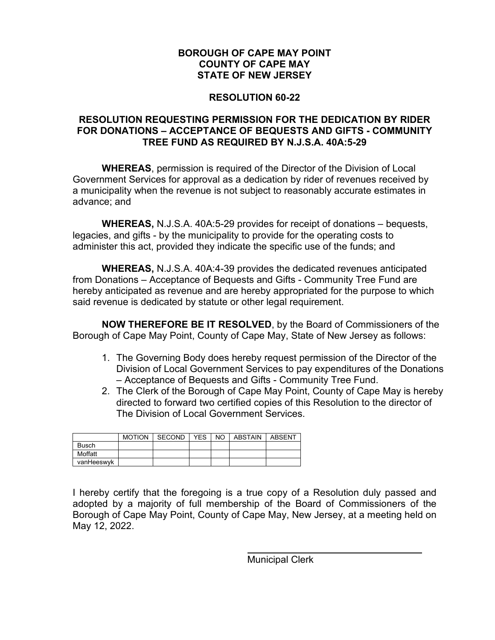### **RESOLUTION 60-22**

### **RESOLUTION REQUESTING PERMISSION FOR THE DEDICATION BY RIDER FOR DONATIONS – ACCEPTANCE OF BEQUESTS AND GIFTS - COMMUNITY TREE FUND AS REQUIRED BY N.J.S.A. 40A:5-29**

**WHEREAS**, permission is required of the Director of the Division of Local Government Services for approval as a dedication by rider of revenues received by a municipality when the revenue is not subject to reasonably accurate estimates in advance; and

**WHEREAS,** N.J.S.A. 40A:5-29 provides for receipt of donations – bequests, legacies, and gifts - by the municipality to provide for the operating costs to administer this act, provided they indicate the specific use of the funds; and

**WHEREAS,** N.J.S.A. 40A:4-39 provides the dedicated revenues anticipated from Donations – Acceptance of Bequests and Gifts - Community Tree Fund are hereby anticipated as revenue and are hereby appropriated for the purpose to which said revenue is dedicated by statute or other legal requirement.

**NOW THEREFORE BE IT RESOLVED**, by the Board of Commissioners of the Borough of Cape May Point, County of Cape May, State of New Jersey as follows:

- 1. The Governing Body does hereby request permission of the Director of the Division of Local Government Services to pay expenditures of the Donations – Acceptance of Bequests and Gifts - Community Tree Fund.
- 2. The Clerk of the Borough of Cape May Point, County of Cape May is hereby directed to forward two certified copies of this Resolution to the director of The Division of Local Government Services.

|              |  |  | MOTION SECOND YES I NO LABSTAIN LABSENT |  |
|--------------|--|--|-----------------------------------------|--|
| <b>Busch</b> |  |  |                                         |  |
| Moffatt      |  |  |                                         |  |
| vanHeeswyk   |  |  |                                         |  |

I hereby certify that the foregoing is a true copy of a Resolution duly passed and adopted by a majority of full membership of the Board of Commissioners of the Borough of Cape May Point, County of Cape May, New Jersey, at a meeting held on May 12, 2022.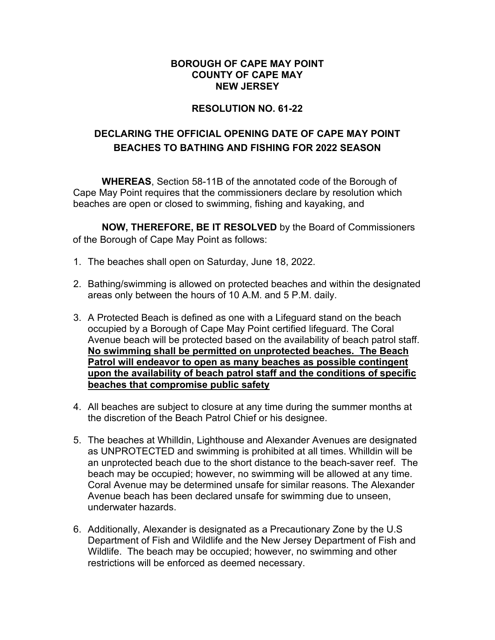### **RESOLUTION NO. 61-22**

### **DECLARING THE OFFICIAL OPENING DATE OF CAPE MAY POINT BEACHES TO BATHING AND FISHING FOR 2022 SEASON**

**WHEREAS**, Section 58-11B of the annotated code of the Borough of Cape May Point requires that the commissioners declare by resolution which beaches are open or closed to swimming, fishing and kayaking, and

**NOW, THEREFORE, BE IT RESOLVED** by the Board of Commissioners of the Borough of Cape May Point as follows:

- 1. The beaches shall open on Saturday, June 18, 2022.
- 2. Bathing/swimming is allowed on protected beaches and within the designated areas only between the hours of 10 A.M. and 5 P.M. daily.
- 3. A Protected Beach is defined as one with a Lifeguard stand on the beach occupied by a Borough of Cape May Point certified lifeguard. The Coral Avenue beach will be protected based on the availability of beach patrol staff. **No swimming shall be permitted on unprotected beaches. The Beach Patrol will endeavor to open as many beaches as possible contingent upon the availability of beach patrol staff and the conditions of specific beaches that compromise public safety**
- 4. All beaches are subject to closure at any time during the summer months at the discretion of the Beach Patrol Chief or his designee.
- 5. The beaches at Whilldin, Lighthouse and Alexander Avenues are designated as UNPROTECTED and swimming is prohibited at all times. Whilldin will be an unprotected beach due to the short distance to the beach-saver reef. The beach may be occupied; however, no swimming will be allowed at any time. Coral Avenue may be determined unsafe for similar reasons. The Alexander Avenue beach has been declared unsafe for swimming due to unseen, underwater hazards.
- 6. Additionally, Alexander is designated as a Precautionary Zone by the U.S Department of Fish and Wildlife and the New Jersey Department of Fish and Wildlife. The beach may be occupied; however, no swimming and other restrictions will be enforced as deemed necessary.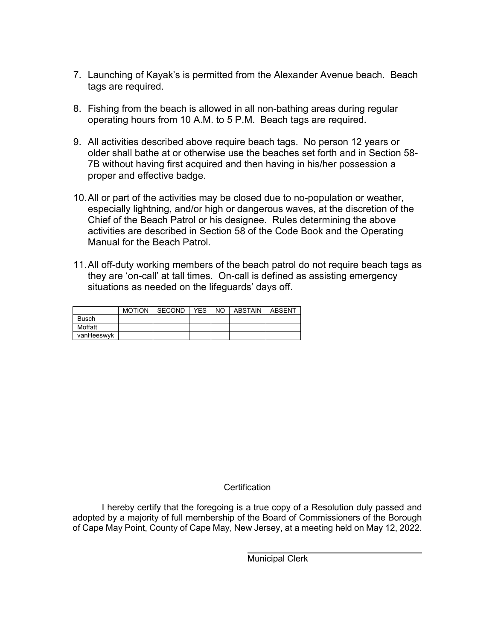- 7. Launching of Kayak's is permitted from the Alexander Avenue beach. Beach tags are required.
- 8. Fishing from the beach is allowed in all non-bathing areas during regular operating hours from 10 A.M. to 5 P.M. Beach tags are required.
- 9. All activities described above require beach tags. No person 12 years or older shall bathe at or otherwise use the beaches set forth and in Section 58- 7B without having first acquired and then having in his/her possession a proper and effective badge.
- 10.All or part of the activities may be closed due to no-population or weather, especially lightning, and/or high or dangerous waves, at the discretion of the Chief of the Beach Patrol or his designee. Rules determining the above activities are described in Section 58 of the Code Book and the Operating Manual for the Beach Patrol.
- 11.All off-duty working members of the beach patrol do not require beach tags as they are 'on-call' at tall times. On-call is defined as assisting emergency situations as needed on the lifeguards' days off.

|            | <b>MOTION</b> | SECOND | <b>YES</b> | NO. | ABSTAIN | ABSENT |
|------------|---------------|--------|------------|-----|---------|--------|
| Busch      |               |        |            |     |         |        |
| Moffatt    |               |        |            |     |         |        |
| vanHeeswyk |               |        |            |     |         |        |

### **Certification**

I hereby certify that the foregoing is a true copy of a Resolution duly passed and adopted by a majority of full membership of the Board of Commissioners of the Borough of Cape May Point, County of Cape May, New Jersey, at a meeting held on May 12, 2022.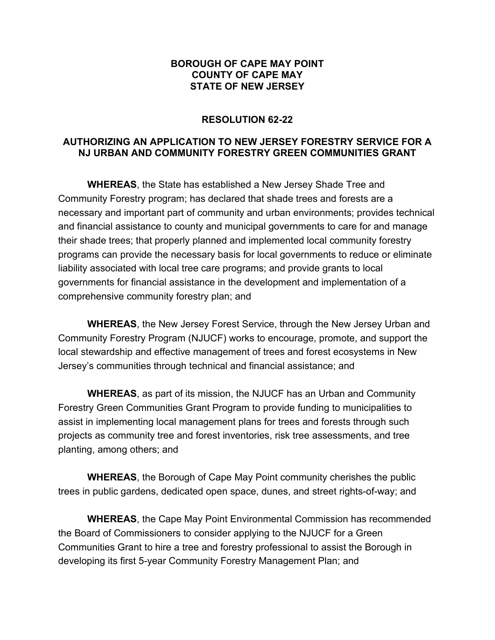### **RESOLUTION 62-22**

### **AUTHORIZING AN APPLICATION TO NEW JERSEY FORESTRY SERVICE FOR A NJ URBAN AND COMMUNITY FORESTRY GREEN COMMUNITIES GRANT**

**WHEREAS**, the State has established a New Jersey Shade Tree and Community Forestry program; has declared that shade trees and forests are a necessary and important part of community and urban environments; provides technical and financial assistance to county and municipal governments to care for and manage their shade trees; that properly planned and implemented local community forestry programs can provide the necessary basis for local governments to reduce or eliminate liability associated with local tree care programs; and provide grants to local governments for financial assistance in the development and implementation of a comprehensive community forestry plan; and

**WHEREAS**, the New Jersey Forest Service, through the New Jersey Urban and Community Forestry Program (NJUCF) works to encourage, promote, and support the local stewardship and effective management of trees and forest ecosystems in New Jersey's communities through technical and financial assistance; and

**WHEREAS**, as part of its mission, the NJUCF has an Urban and Community Forestry Green Communities Grant Program to provide funding to municipalities to assist in implementing local management plans for trees and forests through such projects as community tree and forest inventories, risk tree assessments, and tree planting, among others; and

**WHEREAS**, the Borough of Cape May Point community cherishes the public trees in public gardens, dedicated open space, dunes, and street rights-of-way; and

**WHEREAS**, the Cape May Point Environmental Commission has recommended the Board of Commissioners to consider applying to the NJUCF for a Green Communities Grant to hire a tree and forestry professional to assist the Borough in developing its first 5-year Community Forestry Management Plan; and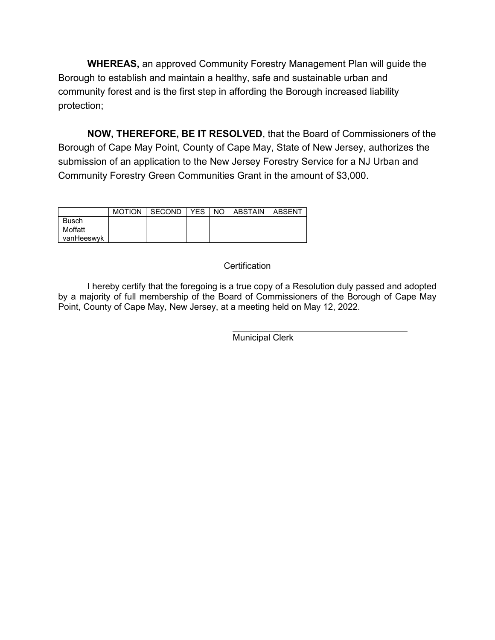**WHEREAS,** an approved Community Forestry Management Plan will guide the Borough to establish and maintain a healthy, safe and sustainable urban and community forest and is the first step in affording the Borough increased liability protection;

**NOW, THEREFORE, BE IT RESOLVED**, that the Board of Commissioners of the Borough of Cape May Point, County of Cape May, State of New Jersey, authorizes the submission of an application to the New Jersey Forestry Service for a NJ Urban and Community Forestry Green Communities Grant in the amount of \$3,000.

|              | MOTION I SECOND I YES I NO I ABSTAIN |  | ABSENT |
|--------------|--------------------------------------|--|--------|
| <b>Busch</b> |                                      |  |        |
| Moffatt      |                                      |  |        |
| vanHeeswyk   |                                      |  |        |

### **Certification**

I hereby certify that the foregoing is a true copy of a Resolution duly passed and adopted by a majority of full membership of the Board of Commissioners of the Borough of Cape May Point, County of Cape May, New Jersey, at a meeting held on May 12, 2022.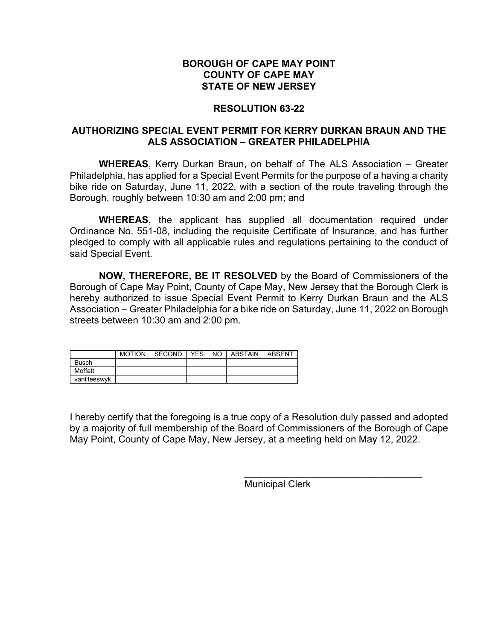### **RESOLUTION 63-22**

### **AUTHORIZING SPECIAL EVENT PERMIT FOR KERRY DURKAN BRAUN AND THE ALS ASSOCIATION – GREATER PHILADELPHIA**

**WHEREAS**, Kerry Durkan Braun, on behalf of The ALS Association – Greater Philadelphia, has applied for a Special Event Permits for the purpose of a having a charity bike ride on Saturday, June 11, 2022, with a section of the route traveling through the Borough, roughly between 10:30 am and 2:00 pm; and

**WHEREAS**, the applicant has supplied all documentation required under Ordinance No. 551-08, including the requisite Certificate of Insurance, and has further pledged to comply with all applicable rules and regulations pertaining to the conduct of said Special Event.

**NOW, THEREFORE, BE IT RESOLVED** by the Board of Commissioners of the Borough of Cape May Point, County of Cape May, New Jersey that the Borough Clerk is hereby authorized to issue Special Event Permit to Kerry Durkan Braun and the ALS Association – Greater Philadelphia for a bike ride on Saturday, June 11, 2022 on Borough streets between 10:30 am and 2:00 pm.

|              | MOTION SECOND | YES I | NO. | ABSTAIN | ABSENT |
|--------------|---------------|-------|-----|---------|--------|
| <b>Busch</b> |               |       |     |         |        |
| Moffatt      |               |       |     |         |        |
| vanHeeswyk   |               |       |     |         |        |

I hereby certify that the foregoing is a true copy of a Resolution duly passed and adopted by a majority of full membership of the Board of Commissioners of the Borough of Cape May Point, County of Cape May, New Jersey, at a meeting held on May 12, 2022.

Municipal Clerk

\_\_\_\_\_\_\_\_\_\_\_\_\_\_\_\_\_\_\_\_\_\_\_\_\_\_\_\_\_\_\_\_\_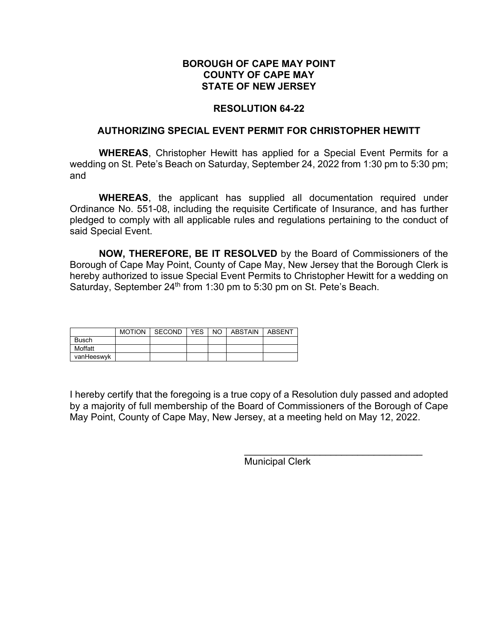### **RESOLUTION 64-22**

### **AUTHORIZING SPECIAL EVENT PERMIT FOR CHRISTOPHER HEWITT**

**WHEREAS**, Christopher Hewitt has applied for a Special Event Permits for a wedding on St. Pete's Beach on Saturday, September 24, 2022 from 1:30 pm to 5:30 pm; and

**WHEREAS**, the applicant has supplied all documentation required under Ordinance No. 551-08, including the requisite Certificate of Insurance, and has further pledged to comply with all applicable rules and regulations pertaining to the conduct of said Special Event.

**NOW, THEREFORE, BE IT RESOLVED** by the Board of Commissioners of the Borough of Cape May Point, County of Cape May, New Jersey that the Borough Clerk is hereby authorized to issue Special Event Permits to Christopher Hewitt for a wedding on Saturday, September 24<sup>th</sup> from 1:30 pm to 5:30 pm on St. Pete's Beach.

|              | <b>MOTION</b> | SECOND | YES. | NO. | ABSTAIN | <b>ABSENT</b> |
|--------------|---------------|--------|------|-----|---------|---------------|
| <b>Busch</b> |               |        |      |     |         |               |
| Moffatt      |               |        |      |     |         |               |
| vanHeeswyk   |               |        |      |     |         |               |

I hereby certify that the foregoing is a true copy of a Resolution duly passed and adopted by a majority of full membership of the Board of Commissioners of the Borough of Cape May Point, County of Cape May, New Jersey, at a meeting held on May 12, 2022.

Municipal Clerk

\_\_\_\_\_\_\_\_\_\_\_\_\_\_\_\_\_\_\_\_\_\_\_\_\_\_\_\_\_\_\_\_\_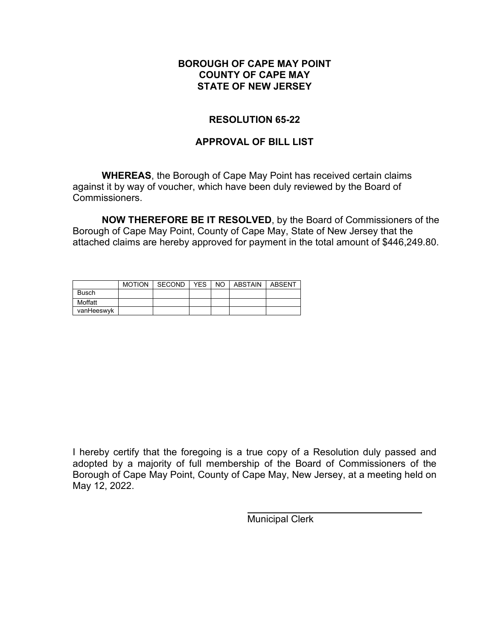### **RESOLUTION 65-22**

### **APPROVAL OF BILL LIST**

**WHEREAS**, the Borough of Cape May Point has received certain claims against it by way of voucher, which have been duly reviewed by the Board of Commissioners.

**NOW THEREFORE BE IT RESOLVED**, by the Board of Commissioners of the Borough of Cape May Point, County of Cape May, State of New Jersey that the attached claims are hereby approved for payment in the total amount of \$446,249.80.

|              | <b>MOTION</b> | SECOND | <b>YES</b> | NO ABSTAIN | ABSENT |
|--------------|---------------|--------|------------|------------|--------|
| <b>Busch</b> |               |        |            |            |        |
| Moffatt      |               |        |            |            |        |
| vanHeeswyk   |               |        |            |            |        |

I hereby certify that the foregoing is a true copy of a Resolution duly passed and adopted by a majority of full membership of the Board of Commissioners of the Borough of Cape May Point, County of Cape May, New Jersey, at a meeting held on May 12, 2022.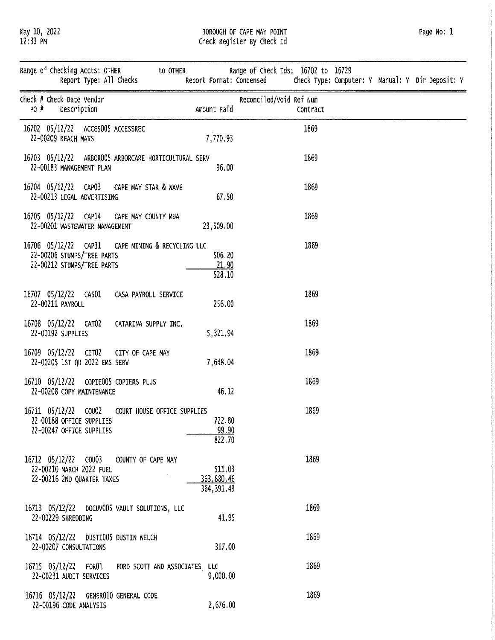May 10, 2022<br>12:33 PM

# BOROUGH OF CAPE MAY POINT<br>Check Register By Check Id

| Range of Checking Accts: OTHER to OTHER<br>Report Type: All Checks                                           |                                     | Range of Check Ids: 16702 to 16729<br>Report Format: Condensed<br>Check Type: Computer: Y Manual: Y Dir Deposit: Y |  |
|--------------------------------------------------------------------------------------------------------------|-------------------------------------|--------------------------------------------------------------------------------------------------------------------|--|
| Check # Check Date Vendor<br>PO #<br>Description                                                             | Amount Paid                         | Reconciled/Void Ref Num<br>Contract                                                                                |  |
| 16702 05/12/22 ACCES005 ACCESSREC<br>22-00209 BEACH MATS                                                     | 7,770.93                            | 1869                                                                                                               |  |
| 16703 05/12/22 ARBOROOS ARBORCARE HORTICULTURAL SERV<br>22-00183 MANAGEMENT PLAN                             | 96.00                               | 1869                                                                                                               |  |
| 16704 05/12/22 CAP03 CAPE MAY STAR & WAVE<br>22-00213 LEGAL ADVERTISING                                      | 67.50                               | 1869                                                                                                               |  |
| 16705 05/12/22 CAP14 CAPE MAY COUNTY MUA<br>22-00201 WASTEWATER MANAGEMENT                                   | 23,509.00                           | 1869                                                                                                               |  |
| 16706 05/12/22 CAP31 CAPE MINING & RECYCLING LLC<br>22-00206 STUMPS/TREE PARTS<br>22-00212 STUMPS/TREE PARTS | 506.20<br>21.90<br>528.10           | 1869                                                                                                               |  |
| 16707 05/12/22 CAS01<br>CASA PAYROLL SERVICE<br>22-00211 PAYROLL                                             | 256.00                              | 1869                                                                                                               |  |
| 16708 05/12/22 CAT02<br>CATARINA SUPPLY INC.<br>22-00192 SUPPLIES                                            | 5,321.94                            | 1869                                                                                                               |  |
| 16709 05/12/22 CIT02 CITY OF CAPE MAY<br>22-00205 1ST QU 2022 EMS SERV                                       | 7,648.04                            | 1869                                                                                                               |  |
| 16710 05/12/22 COPIE005 COPIERS PLUS<br>22-00208 COPY MAINTENANCE                                            | 46.12                               | 1869                                                                                                               |  |
| 16711 05/12/22 COU02 COURT HOUSE OFFICE SUPPLIES<br>22-00188 OFFICE SUPPLIES<br>22-00247 OFFICE SUPPLIES     | 722.80<br>99.90<br>822.70           | 1869                                                                                                               |  |
| 16712 05/12/22 COU03<br>COUNTY OF CAPE MAY<br>22-00210 MARCH 2022 FUEL<br>22-00216 2ND QUARTER TAXES         | 511.03<br>363,880.46<br>364, 391.49 | 1869                                                                                                               |  |
| 16713 05/12/22 DOCUV005 VAULT SOLUTIONS, LLC<br>22-00229 SHREDDING                                           | 41.95                               | 1869                                                                                                               |  |
| 16714 05/12/22 DUSTI005 DUSTIN WELCH<br>22-00207 CONSULTATIONS                                               | 317.00                              | 1869                                                                                                               |  |
| 16715 05/12/22 FOR01<br>FORD SCOTT AND ASSOCIATES, LLC<br>22-00231 AUDIT SERVICES                            | 9,000.00                            | 1869                                                                                                               |  |
| 16716 05/12/22 GENER010 GENERAL CODE<br>22-00196 CODE ANALYSIS                                               | 2,676.00                            | 1869                                                                                                               |  |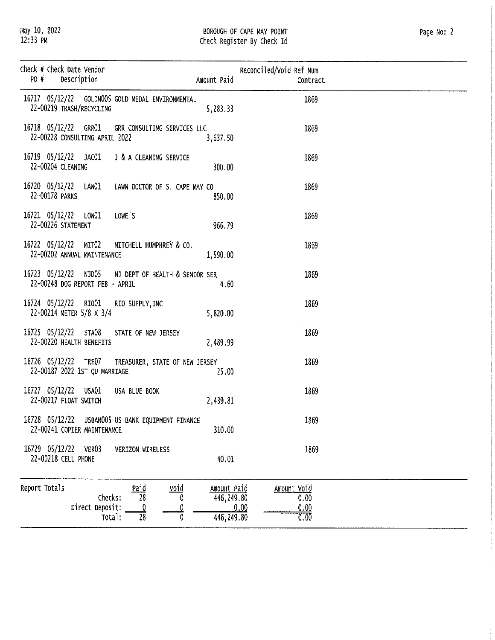$\hat{\mathcal{A}}$ 

| Check # Check Date Vendor<br>PO#<br>Description     |                                                                                            | Amount Paid                              | Reconciled/Void Ref Num<br>Contract                       |  |
|-----------------------------------------------------|--------------------------------------------------------------------------------------------|------------------------------------------|-----------------------------------------------------------|--|
| 22-00219 TRASH/RECYCLING                            | 16717 05/12/22 GOLDMO05 GOLD MEDAL ENVIRONMENTAL                                           | 5, 283, 33                               | 1869                                                      |  |
| 22-00228 CONSULTING APRIL 2022                      | 16718 05/12/22 GRRO1 GRR CONSULTING SERVICES LLC                                           | 3,637.50                                 | 1869                                                      |  |
| 16719 05/12/22 JAC01<br>22-00204 CLEANING           | J & A CLEANING SERVICE                                                                     | 300.00                                   | 1869                                                      |  |
| 16720 05/12/22 LAW01<br>22-00178 PARKS              | LAWN DOCTOR OF S. CAPE MAY CO                                                              | 850.00                                   | 1869                                                      |  |
| 16721 05/12/22 LOW01<br>22-00226 STATEMENT          | LOWE'S                                                                                     | 966.79                                   | 1869                                                      |  |
| 16722 05/12/22 MIT02<br>22-00202 ANNUAL MAINTENANCE | MITCHELL HUMPHREY & CO.                                                                    | 1,590.00                                 | 1869                                                      |  |
| 22-00248 DOG REPORT FEB - APRIL                     | 16723 05/12/22 NJD05 NJ DEPT OF HEALTH & SENIOR SER                                        | 4.60                                     | 1869                                                      |  |
| 16724 05/12/22 RIO01<br>22-00214 METER 5/8 X 3/4    | RIO SUPPLY, INC                                                                            | 5.820.00                                 | 1869                                                      |  |
| 16725 05/12/22 STA08<br>22-00220 HEALTH BENEFITS    | STATE OF NEW JERSEY                                                                        | 2.489.99                                 | 1869                                                      |  |
| 22-00187 2022 1ST QU MARRIAGE                       | 16726 05/12/22 TRE07 TREASURER, STATE OF NEW JERSEY                                        | 25.00                                    | 1869                                                      |  |
| 16727 05/12/22 USA01<br>22-00217 FLOAT SWITCH       | USA BLUE BOOK                                                                              | 2.439.81                                 | 1869                                                      |  |
| 22-00241 COPIER MAINTENANCE                         | 16728 05/12/22 USBANO05 US BANK EQUIPMENT FINANCE                                          | 310.00                                   | 1869                                                      |  |
| 16729 05/12/22<br>VER03<br>22-00218 CELL PHONE      | VERIZON WIRELESS                                                                           | 40.01                                    | 1869                                                      |  |
| Report Totals<br>Direct Deposit:                    | <u>Paid</u><br><u>Void</u><br>$\overline{28}$<br>Checks:<br>O<br>$\overline{28}$<br>Total: | Amount Paid<br>446,249.80<br>446, 249.80 | Amount Void<br>0.00<br>$\frac{0.00}{0.00}$<br><u>0.00</u> |  |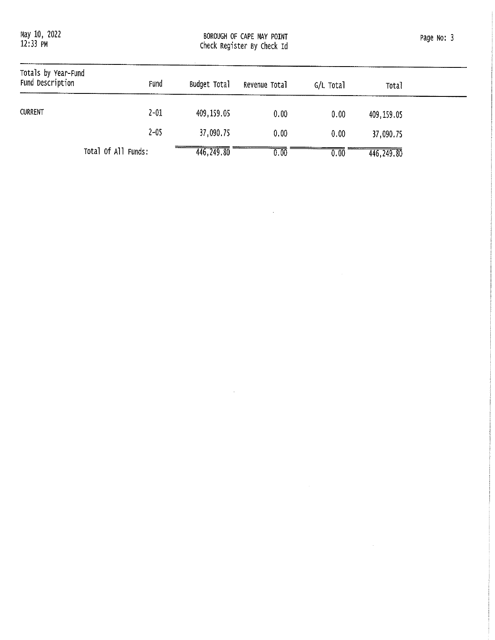May 10, 2022<br>12:33 PM

BOROUGH OF CAPE MAY POINT<br>Check Register By Check Id

Page No: 3

| Totals by Year-Fund<br>Fund Description | Fund                | Budget Total | Revenue Total | G/L Total | <b>Total</b> |  |
|-----------------------------------------|---------------------|--------------|---------------|-----------|--------------|--|
| <b>CURRENT</b>                          | $2 - 01$            | 409,159.05   | 0.00          | 0.00      | 409,159.05   |  |
|                                         | $2 - 05$            | 37,090.75    | 0.00          | 0.00      | 37,090.75    |  |
|                                         | Total Of All Funds: | 446,249.80   | 0.00          | 0.00      | 446,249.80   |  |

 $\sim 10$ 

 $\sim 10^7$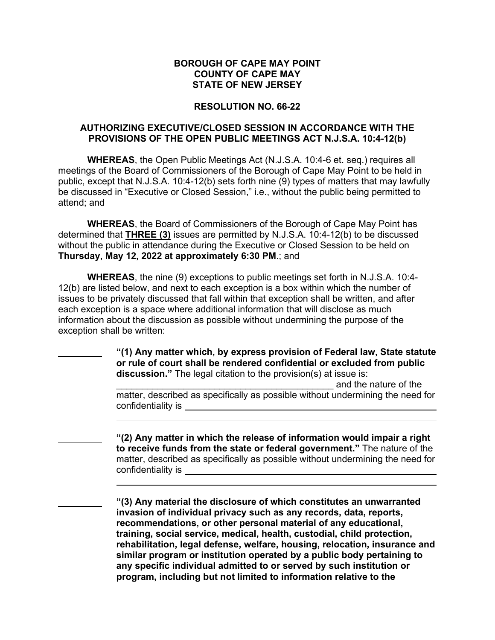### **RESOLUTION NO. 66-22**

### **AUTHORIZING EXECUTIVE/CLOSED SESSION IN ACCORDANCE WITH THE PROVISIONS OF THE OPEN PUBLIC MEETINGS ACT N.J.S.A. 10:4-12(b)**

**WHEREAS**, the Open Public Meetings Act (N.J.S.A. 10:4-6 et. seq.) requires all meetings of the Board of Commissioners of the Borough of Cape May Point to be held in public, except that N.J.S.A. 10:4-12(b) sets forth nine (9) types of matters that may lawfully be discussed in "Executive or Closed Session," i.e., without the public being permitted to attend; and

**WHEREAS**, the Board of Commissioners of the Borough of Cape May Point has determined that **THREE (3)** issues are permitted by N.J.S.A. 10:4-12(b) to be discussed without the public in attendance during the Executive or Closed Session to be held on **Thursday, May 12, 2022 at approximately 6:30 PM**.; and

**WHEREAS**, the nine (9) exceptions to public meetings set forth in N.J.S.A. 10:4- 12(b) are listed below, and next to each exception is a box within which the number of issues to be privately discussed that fall within that exception shall be written, and after each exception is a space where additional information that will disclose as much information about the discussion as possible without undermining the purpose of the exception shall be written:

 $\overline{a}$ 

 $\ddot{\phantom{a}}$ 

 **"(1) Any matter which, by express provision of Federal law, State statute or rule of court shall be rendered confidential or excluded from public discussion."** The legal citation to the provision(s) at issue is:

\_\_\_\_\_\_\_\_\_\_\_\_\_\_\_\_\_\_\_\_\_\_\_\_\_\_\_\_\_\_\_\_\_\_\_\_\_\_\_\_\_\_ and the nature of the matter, described as specifically as possible without undermining the need for confidentiality is

 **"(2) Any matter in which the release of information would impair a right to receive funds from the state or federal government."** The nature of the matter, described as specifically as possible without undermining the need for confidentiality is

 **"(3) Any material the disclosure of which constitutes an unwarranted invasion of individual privacy such as any records, data, reports, recommendations, or other personal material of any educational, training, social service, medical, health, custodial, child protection, rehabilitation, legal defense, welfare, housing, relocation, insurance and similar program or institution operated by a public body pertaining to any specific individual admitted to or served by such institution or program, including but not limited to information relative to the**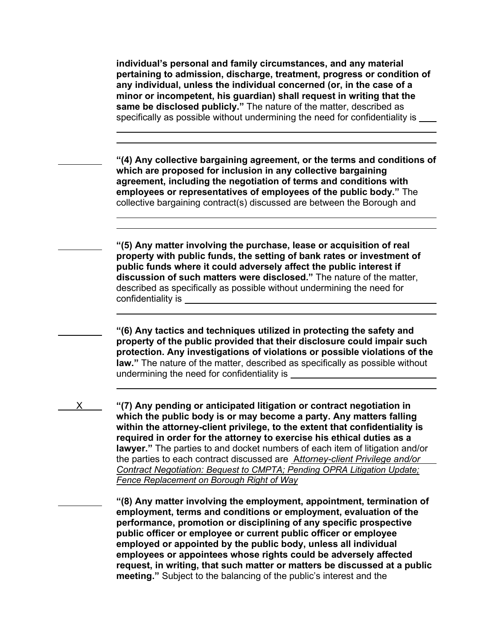**individual's personal and family circumstances, and any material pertaining to admission, discharge, treatment, progress or condition of any individual, unless the individual concerned (or, in the case of a minor or incompetent, his guardian) shall request in writing that the same be disclosed publicly."** The nature of the matter, described as specifically as possible without undermining the need for confidentiality is

 $\ddot{\phantom{a}}$  $\overline{a}$ 

 $\ddot{\phantom{a}}$ 

 $\ddot{\phantom{a}}$ 

 $\ddot{\phantom{a}}$ 

 **"(4) Any collective bargaining agreement, or the terms and conditions of which are proposed for inclusion in any collective bargaining agreement, including the negotiation of terms and conditions with employees or representatives of employees of the public body."** The collective bargaining contract(s) discussed are between the Borough and

 **"(5) Any matter involving the purchase, lease or acquisition of real property with public funds, the setting of bank rates or investment of public funds where it could adversely affect the public interest if discussion of such matters were disclosed."** The nature of the matter, described as specifically as possible without undermining the need for confidentiality is

 **"(6) Any tactics and techniques utilized in protecting the safety and property of the public provided that their disclosure could impair such protection. Any investigations of violations or possible violations of the law."** The nature of the matter, described as specifically as possible without undermining the need for confidentiality is

 X **"(7) Any pending or anticipated litigation or contract negotiation in which the public body is or may become a party. Any matters falling within the attorney-client privilege, to the extent that confidentiality is required in order for the attorney to exercise his ethical duties as a lawyer."** The parties to and docket numbers of each item of litigation and/or the parties to each contract discussed are A*ttorney-client Privilege and/or Contract Negotiation: Bequest to CMPTA; Pending OPRA Litigation Update; Fence Replacement on Borough Right of Way*

> **"(8) Any matter involving the employment, appointment, termination of employment, terms and conditions or employment, evaluation of the performance, promotion or disciplining of any specific prospective public officer or employee or current public officer or employee employed or appointed by the public body, unless all individual employees or appointees whose rights could be adversely affected request, in writing, that such matter or matters be discussed at a public meeting."** Subject to the balancing of the public's interest and the